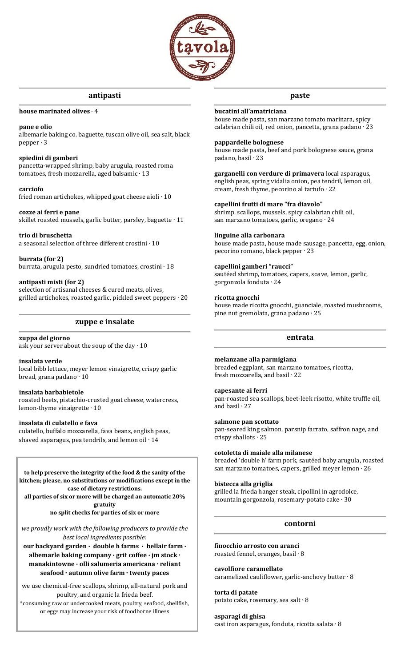

# **antipasti**

#### **house marinated olives** ∙ 4

# **pane e olio**

albemarle baking co. baguette, tuscan olive oil, sea salt, black pepper ∙ 3

## **spiedini di gamberi**

pancetta-wrapped shrimp, baby arugula, roasted roma tomatoes, fresh mozzarella, aged balsamic ∙ 13

#### **carciofo**

fried roman artichokes, whipped goat cheese aioli ∙ 10

#### **cozze ai ferri e pane**

skillet roasted mussels, garlic butter, parsley, baguette ∙ 11

**trio di bruschetta** a seasonal selection of three different crostini ∙ 10

**burrata (for 2)** burrata, arugula pesto, sundried tomatoes, crostini ∙ 18

## **antipasti misti (for 2)**

selection of artisanal cheeses & cured meats, olives, grilled artichokes, roasted garlic, pickled sweet peppers ∙ 20

# **zuppe e insalate**

# **zuppa del giorno**

ask your server about the soup of the day ∙ 10

## **insalata verde**

local bibb lettuce, meyer lemon vinaigrette, crispy garlic bread, grana padano ∙ 10

## **insalata barbabietole**

roasted beets, pistachio-crusted goat cheese, watercress, lemon-thyme vinaigrette ∙ 10

# **insalata di culatello e fava**

culatello, buffalo mozzarella, fava beans, english peas, shaved asparagus, pea tendrils, and lemon oil ∙ 14

#### **to help preserve the integrity of the food & the sanity of the kitchen; please, no substitutions or modifications except in the case of dietary restrictions.**

**all parties of six or more will be charged an automatic 20% gratuity**

**no split checks for parties of six or more**

*we proudly work with the following producers to provide the best local ingredients possible:* 

**our backyard garden ∙ double h farms ∙ bellair farm ∙ albemarle baking company ∙ grit coffee ∙ jm stock · manakintowne ∙ olli salumeria americana · reliant seafood · autumn olive farm · twenty paces**

we use chemical-free scallops, shrimp, all-natural pork and poultry, and organic la frieda beef. \*consuming raw or undercooked meats, poultry, seafood, shellfish,

or eggs may increase your risk of foodborne illness

# **paste**

# **bucatini all'amatriciana**

house made pasta, san marzano tomato marinara, spicy calabrian chili oil, red onion, pancetta, grana padano ∙ 23

## **pappardelle bolognese**

house made pasta, beef and pork bolognese sauce, grana padano, basil ∙ 23

**garganelli con verdure di primavera** local asparagus, english peas, spring vidalia onion, pea tendril, lemon oil, cream, fresh thyme, pecorino al tartufo ∙ 22

#### **capellini frutti di mare "fra diavolo"**

shrimp, scallops, mussels, spicy calabrian chili oil, san marzano tomatoes, garlic, oregano ∙ 24

## **linguine alla carbonara**

house made pasta, house made sausage, pancetta, egg, onion, pecorino romano, black pepper ∙ 23

## **capellini gamberi "raucci"**

sautéed shrimp, tomatoes, capers, soave, lemon, garlic, gorgonzola fonduta ∙ 24

#### **ricotta gnocchi**

house made ricotta gnocchi, guanciale, roasted mushrooms, pine nut gremolata, grana padano ∙ 25

## **entrata**

## **melanzane alla parmigiana**

breaded eggplant, san marzano tomatoes, ricotta, fresh mozzarella, and basil ∙ 22

## **capesante ai ferri**

pan-roasted sea scallops, beet-leek risotto, white truffle oil, and basil ∙ 27

#### **salmone pan scottato**

pan-seared king salmon, parsnip farrato, saffron nage, and crispy shallots ∙ 25

#### **cotoletta di maiale alla milanese**

breaded 'double h' farm pork, sautéed baby arugula, roasted san marzano tomatoes, capers, grilled meyer lemon ∙ 26

#### **bistecca alla griglia**

grilled la frieda hanger steak, cipollini in agrodolce, mountain gorgonzola, rosemary-potato cake ∙ 30

# **contorni**

**finocchio arrosto con aranci**  roasted fennel, oranges, basil ∙ 8

**cavolfiore caramellato** caramelized cauliflower, garlic-anchovy butter ∙ 8

**torta di patate** potato cake, rosemary, sea salt ∙ 8

**asparagi di ghisa** 

cast iron asparagus, fonduta, ricotta salata ∙ 8